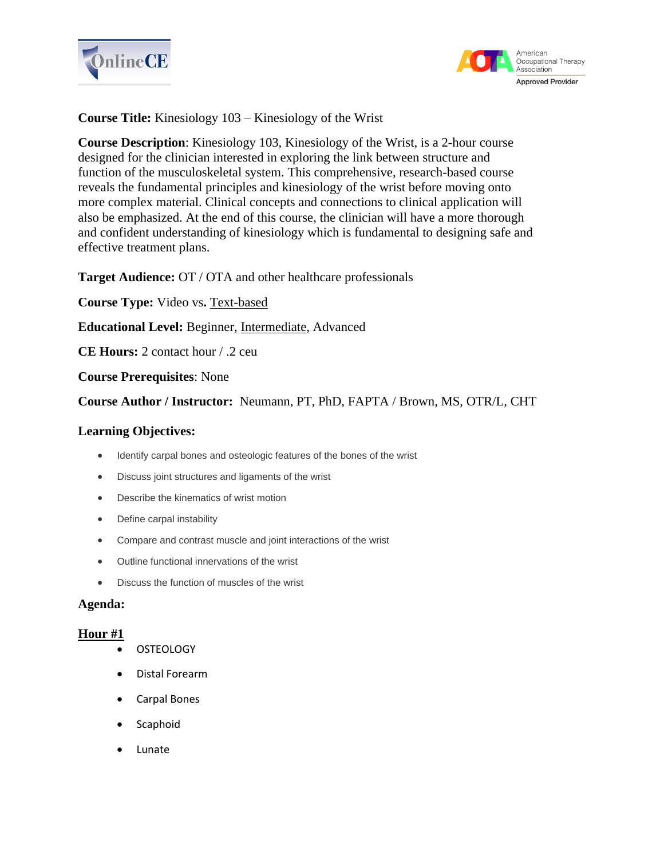



**Course Title:** Kinesiology 103 – Kinesiology of the Wrist

**Course Description**: Kinesiology 103, Kinesiology of the Wrist, is a 2-hour course designed for the clinician interested in exploring the link between structure and function of the musculoskeletal system. This comprehensive, research-based course reveals the fundamental principles and kinesiology of the wrist before moving onto more complex material. Clinical concepts and connections to clinical application will also be emphasized. At the end of this course, the clinician will have a more thorough and confident understanding of kinesiology which is fundamental to designing safe and effective treatment plans.

**Target Audience:** OT / OTA and other healthcare professionals

**Course Type:** Video vs**.** Text-based

**Educational Level:** Beginner, Intermediate, Advanced

**CE Hours:** 2 contact hour / .2 ceu

**Course Prerequisites**: None

**Course Author / Instructor:** Neumann, PT, PhD, FAPTA / Brown, MS, OTR/L, CHT

### **Learning Objectives:**

- Identify carpal bones and osteologic features of the bones of the wrist
- Discuss joint structures and ligaments of the wrist
- Describe the kinematics of wrist motion
- Define carpal instability
- Compare and contrast muscle and joint interactions of the wrist
- Outline functional innervations of the wrist
- Discuss the function of muscles of the wrist

### **Agenda:**

## **Hour #1**

- OSTEOLOGY
- Distal Forearm
- Carpal Bones
- **Scaphoid**
- Lunate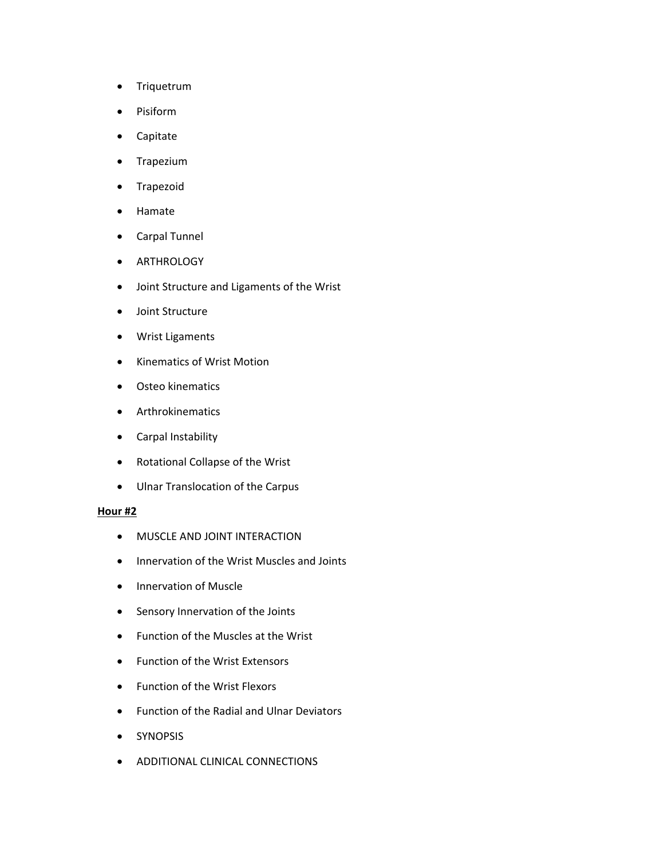- Triquetrum
- Pisiform
- Capitate
- Trapezium
- Trapezoid
- Hamate
- Carpal Tunnel
- ARTHROLOGY
- Joint Structure and Ligaments of the Wrist
- Joint Structure
- Wrist Ligaments
- Kinematics of Wrist Motion
- Osteo kinematics
- Arthrokinematics
- Carpal Instability
- Rotational Collapse of the Wrist
- Ulnar Translocation of the Carpus

#### **Hour #2**

- MUSCLE AND JOINT INTERACTION
- Innervation of the Wrist Muscles and Joints
- Innervation of Muscle
- Sensory Innervation of the Joints
- Function of the Muscles at the Wrist
- Function of the Wrist Extensors
- Function of the Wrist Flexors
- Function of the Radial and Ulnar Deviators
- SYNOPSIS
- ADDITIONAL CLINICAL CONNECTIONS